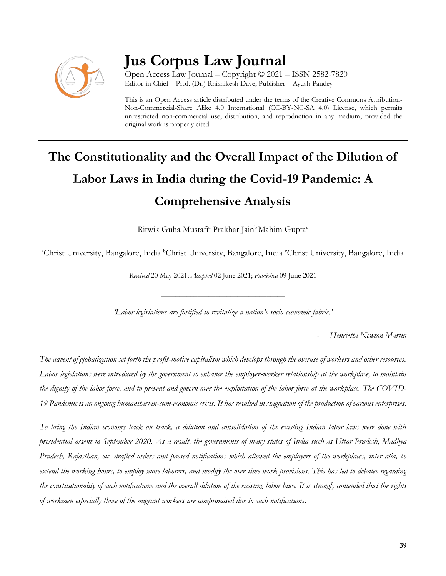

# **Jus Corpus Law Journal**

Open Access Law Journal – Copyright © 2021 – ISSN 2582-7820 Editor-in-Chief – Prof. (Dr.) Rhishikesh Dave; Publisher – Ayush Pandey

This is an Open Access article distributed under the terms of the Creative Commons Attribution-Non-Commercial-Share Alike 4.0 International (CC-BY-NC-SA 4.0) License, which permits unrestricted non-commercial use, distribution, and reproduction in any medium, provided the original work is properly cited.

# **The Constitutionality and the Overall Impact of the Dilution of Labor Laws in India during the Covid-19 Pandemic: A Comprehensive Analysis**

Ritwik Guha Mustafi<sup>a</sup> Prakhar Jain<sup>b</sup> Mahim Gupta<sup>c</sup>

<sup>a</sup>Christ University, Bangalore, India <sup>b</sup>Christ University, Bangalore, India <sup>c</sup>Christ University, Bangalore, India

*Received* 20 May 2021; *Accepted* 02 June 2021; *Published* 09 June 2021

*'Labor legislations are fortified to revitalize a nation's socio-economic fabric.'*

\_\_\_\_\_\_\_\_\_\_\_\_\_\_\_\_\_\_\_\_\_\_\_\_\_\_\_\_\_\_\_\_\_\_

- *Henrietta Newton Martin*

*The advent of globalization set forth the profit-motive capitalism which develops through the overuse of workers and other resources. Labor legislations were introduced by the government to enhance the employer-worker relationship at the workplace, to maintain the dignity of the labor force, and to prevent and govern over the exploitation of the labor force at the workplace. The COVID-19 Pandemic is an ongoing humanitarian-cum-economic crisis. It has resulted in stagnation of the production of various enterprises.*

*To bring the Indian economy back on track, a dilution and consolidation of the existing Indian labor laws were done with presidential assent in September 2020. As a result, the governments of many states of India such as Uttar Pradesh, Madhya Pradesh, Rajasthan, etc. drafted orders and passed notifications which allowed the employers of the workplaces, inter alia, to extend the working hours, to employ more laborers, and modify the over-time work provisions. This has led to debates regarding the constitutionality of such notifications and the overall dilution of the existing labor laws. It is strongly contended that the rights of workmen especially those of the migrant workers are compromised due to such notifications.*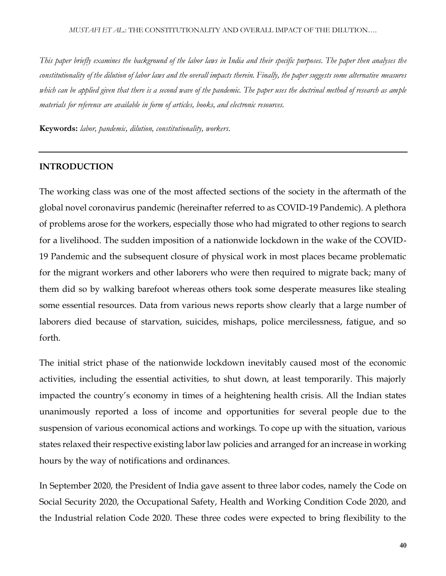*This paper briefly examines the background of the labor laws in India and their specific purposes. The paper then analyses the constitutionality of the dilution of labor laws and the overall impacts therein. Finally, the paper suggests some alternative measures which can be applied given that there is a second wave of the pandemic. The paper uses the doctrinal method of research as ample materials for reference are available in form of articles, books, and electronic resources.* 

**Keywords:** *labor, pandemic, dilution, constitutionality, workers.*

#### **INTRODUCTION**

The working class was one of the most affected sections of the society in the aftermath of the global novel coronavirus pandemic (hereinafter referred to as COVID-19 Pandemic). A plethora of problems arose for the workers, especially those who had migrated to other regions to search for a livelihood. The sudden imposition of a nationwide lockdown in the wake of the COVID-19 Pandemic and the subsequent closure of physical work in most places became problematic for the migrant workers and other laborers who were then required to migrate back; many of them did so by walking barefoot whereas others took some desperate measures like stealing some essential resources. Data from various news reports show clearly that a large number of laborers died because of starvation, suicides, mishaps, police mercilessness, fatigue, and so forth.

The initial strict phase of the nationwide lockdown inevitably caused most of the economic activities, including the essential activities, to shut down, at least temporarily. This majorly impacted the country's economy in times of a heightening health crisis. All the Indian states unanimously reported a loss of income and opportunities for several people due to the suspension of various economical actions and workings. To cope up with the situation, various states relaxed their respective existing labor law policies and arranged for an increase in working hours by the way of notifications and ordinances.

In September 2020, the President of India gave assent to three labor codes, namely the Code on Social Security 2020, the Occupational Safety, Health and Working Condition Code 2020, and the Industrial relation Code 2020. These three codes were expected to bring flexibility to the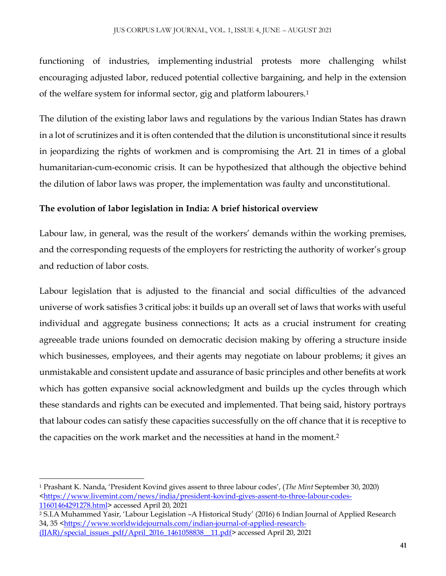#### JUS CORPUS LAW JOURNAL, VOL. 1, ISSUE 4, JUNE – AUGUST 2021

functioning of industries, implementing industrial protests more challenging whilst encouraging adjusted labor, reduced potential collective bargaining, and help in the extension of the welfare system for informal sector, gig and platform labourers.<sup>1</sup>

The dilution of the existing labor laws and regulations by the various Indian States has drawn in a lot of scrutinizes and it is often contended that the dilution is unconstitutional since it results in jeopardizing the rights of workmen and is compromising the Art. 21 in times of a global humanitarian-cum-economic crisis. It can be hypothesized that although the objective behind the dilution of labor laws was proper, the implementation was faulty and unconstitutional.

### **The evolution of labor legislation in India: A brief historical overview**

Labour law, in general, was the result of the workers' demands within the working premises, and the corresponding requests of the employers for restricting the authority of worker's group and reduction of labor costs.

Labour legislation that is adjusted to the financial and social difficulties of the advanced universe of work satisfies 3 critical jobs: it builds up an overall set of laws that works with useful individual and aggregate business connections; It acts as a crucial instrument for creating agreeable trade unions founded on democratic decision making by offering a structure inside which businesses, employees, and their agents may negotiate on labour problems; it gives an unmistakable and consistent update and assurance of basic principles and other benefits at work which has gotten expansive social acknowledgment and builds up the cycles through which these standards and rights can be executed and implemented. That being said, history portrays that labour codes can satisfy these capacities successfully on the off chance that it is receptive to the capacities on the work market and the necessities at hand in the moment.<sup>2</sup>

 $\overline{a}$ 

<sup>1</sup> Prashant K. Nanda, 'President Kovind gives assent to three labour codes', (*The Mint* September 30, 2020) [<https://www.livemint.com/news/india/president-kovind-gives-assent-to-three-labour-codes-](https://www.livemint.com/news/india/president-kovind-gives-assent-to-three-labour-codes-11601464291278.html)[11601464291278.html>](https://www.livemint.com/news/india/president-kovind-gives-assent-to-three-labour-codes-11601464291278.html) accessed April 20, 2021

<sup>2</sup> S.I.A Muhammed Yasir, 'Labour Legislation –A Historical Study' (2016) 6 Indian Journal of Applied Research 34, 35 [<https://www.worldwidejournals.com/indian-journal-of-applied-research-](https://www.worldwidejournals.com/indian-journal-of-applied-research-(IJAR)/special_issues_pdf/April_2016_1461058838__11.pdf) [\(IJAR\)/special\\_issues\\_pdf/April\\_2016\\_1461058838\\_\\_11.pdf>](https://www.worldwidejournals.com/indian-journal-of-applied-research-(IJAR)/special_issues_pdf/April_2016_1461058838__11.pdf) accessed April 20, 2021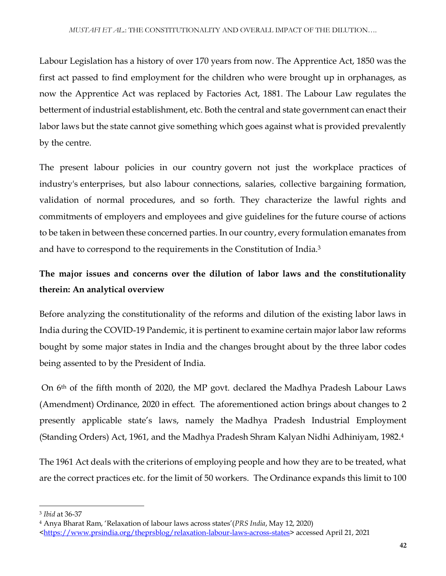Labour Legislation has a history of over 170 years from now. The Apprentice Act, 1850 was the first act passed to find employment for the children who were brought up in orphanages, as now the Apprentice Act was replaced by Factories Act, 1881. The Labour Law regulates the betterment of industrial establishment, etc. Both the central and state government can enact their labor laws but the state cannot give something which goes against what is provided prevalently by the centre.

The present labour policies in our country govern not just the workplace practices of industry's enterprises, but also labour connections, salaries, collective bargaining formation, validation of normal procedures, and so forth. They characterize the lawful rights and commitments of employers and employees and give guidelines for the future course of actions to be taken in between these concerned parties. In our country, every formulation emanates from and have to correspond to the requirements in the Constitution of India.<sup>3</sup>

## **The major issues and concerns over the dilution of labor laws and the constitutionality therein: An analytical overview**

Before analyzing the constitutionality of the reforms and dilution of the existing labor laws in India during the COVID-19 Pandemic, it is pertinent to examine certain major labor law reforms bought by some major states in India and the changes brought about by the three labor codes being assented to by the President of India.

On 6th of the fifth month of 2020, the MP govt. declared the Madhya Pradesh Labour Laws (Amendment) Ordinance, 2020 in effect. The aforementioned action brings about changes to 2 presently applicable state's laws, namely the Madhya Pradesh Industrial Employment (Standing Orders) Act, 1961, and the Madhya Pradesh Shram Kalyan Nidhi Adhiniyam, 1982. 4

The 1961 Act deals with the criterions of employing people and how they are to be treated, what are the correct practices etc. for the limit of 50 workers. The Ordinance expands this limit to 100

 $\overline{\phantom{a}}$ 

<sup>3</sup> *Ibid* at 36-37

<sup>4</sup> Anya Bharat Ram, 'Relaxation of labour laws across states'(*PRS India*, May 12, 2020)

[<sup>&</sup>lt;https://www.prsindia.org/theprsblog/relaxation-labour-laws-across-states>](https://www.prsindia.org/theprsblog/relaxation-labour-laws-across-states) accessed April 21, 2021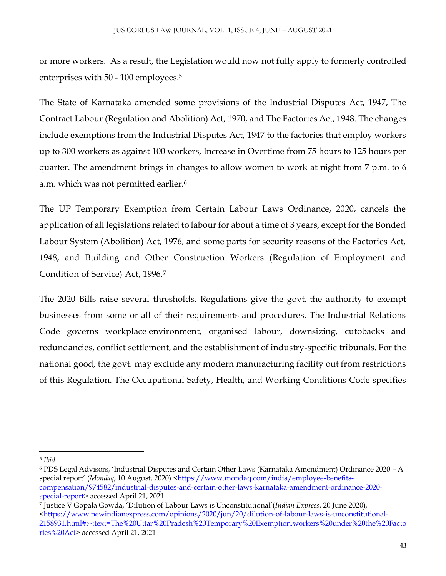or more workers. As a result, the Legislation would now not fully apply to formerly controlled enterprises with 50 - 100 employees.<sup>5</sup>

The State of Karnataka amended some provisions of the Industrial Disputes Act, 1947, The Contract Labour (Regulation and Abolition) Act, 1970, and The Factories Act, 1948. The changes include exemptions from the Industrial Disputes Act, 1947 to the factories that employ workers up to 300 workers as against 100 workers, Increase in Overtime from 75 hours to 125 hours per quarter. The amendment brings in changes to allow women to work at night from 7 p.m. to 6 a.m. which was not permitted earlier.<sup>6</sup>

The UP Temporary Exemption from Certain Labour Laws Ordinance, 2020, cancels the application of all legislations related to labour for about a time of 3 years, except for the Bonded Labour System (Abolition) Act, 1976, and some parts for security reasons of the Factories Act, 1948, and Building and Other Construction Workers (Regulation of Employment and Condition of Service) Act, 1996.<sup>7</sup>

The 2020 Bills raise several thresholds. Regulations give the govt. the authority to exempt businesses from some or all of their requirements and procedures. The Industrial Relations Code governs workplace environment, organised labour, downsizing, cutobacks and redundancies, conflict settlement, and the establishment of industry-specific tribunals. For the national good, the govt. may exclude any modern manufacturing facility out from restrictions of this Regulation. The Occupational Safety, Health, and Working Conditions Code specifies

 $\overline{\phantom{a}}$ <sup>5</sup> *Ibid*

<sup>6</sup> PDS Legal Advisors, 'Industrial Disputes and Certain Other Laws (Karnataka Amendment) Ordinance 2020 – A special report' (*Mondaq*, 10 August, 2020) [<https://www.mondaq.com/india/employee-benefits](https://www.mondaq.com/india/employee-benefits-compensation/974582/industrial-disputes-and-certain-other-laws-karnataka-amendment-ordinance-2020-special-report)[compensation/974582/industrial-disputes-and-certain-other-laws-karnataka-amendment-ordinance-2020](https://www.mondaq.com/india/employee-benefits-compensation/974582/industrial-disputes-and-certain-other-laws-karnataka-amendment-ordinance-2020-special-report) [special-report>](https://www.mondaq.com/india/employee-benefits-compensation/974582/industrial-disputes-and-certain-other-laws-karnataka-amendment-ordinance-2020-special-report) accessed April 21, 2021

<sup>7</sup> Justice V Gopala Gowda, 'Dilution of Labour Laws is Unconstitutional'(*Indian Express*, 20 June 2020), [<https://www.newindianexpress.com/opinions/2020/jun/20/dilution-of-labour-laws-is-unconstitutional-](https://www.newindianexpress.com/opinions/2020/jun/20/dilution-of-labour-laws-is-unconstitutional-2158931.html#:~:text=The%20Uttar%20Pradesh%20Temporary%20Exemption,workers%20under%20the%20Factories%20Act)[2158931.html#:~:text=The%20Uttar%20Pradesh%20Temporary%20Exemption,workers%20under%20the%20Facto](https://www.newindianexpress.com/opinions/2020/jun/20/dilution-of-labour-laws-is-unconstitutional-2158931.html#:~:text=The%20Uttar%20Pradesh%20Temporary%20Exemption,workers%20under%20the%20Factories%20Act) [ries%20Act>](https://www.newindianexpress.com/opinions/2020/jun/20/dilution-of-labour-laws-is-unconstitutional-2158931.html#:~:text=The%20Uttar%20Pradesh%20Temporary%20Exemption,workers%20under%20the%20Factories%20Act) accessed April 21, 2021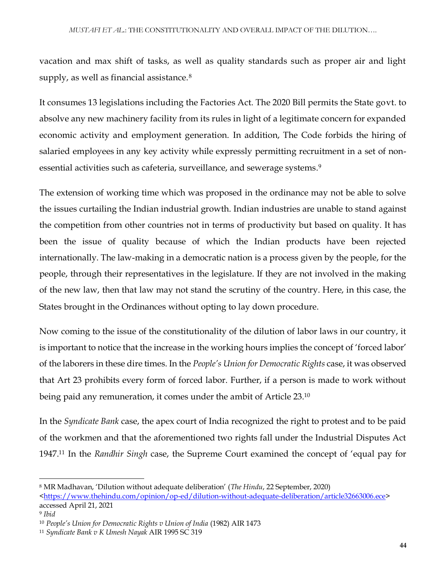vacation and max shift of tasks, as well as quality standards such as proper air and light supply, as well as financial assistance.<sup>8</sup>

It consumes 13 legislations including the Factories Act. The 2020 Bill permits the State govt. to absolve any new machinery facility from its rules in light of a legitimate concern for expanded economic activity and employment generation. In addition, The Code forbids the hiring of salaried employees in any key activity while expressly permitting recruitment in a set of nonessential activities such as cafeteria, surveillance, and sewerage systems. 9

The extension of working time which was proposed in the ordinance may not be able to solve the issues curtailing the Indian industrial growth. Indian industries are unable to stand against the competition from other countries not in terms of productivity but based on quality. It has been the issue of quality because of which the Indian products have been rejected internationally. The law-making in a democratic nation is a process given by the people, for the people, through their representatives in the legislature. If they are not involved in the making of the new law, then that law may not stand the scrutiny of the country. Here, in this case, the States brought in the Ordinances without opting to lay down procedure.

Now coming to the issue of the constitutionality of the dilution of labor laws in our country, it is important to notice that the increase in the working hours implies the concept of 'forced labor' of the laborers in these dire times. In the *People's Union for Democratic Rights* case, it was observed that Art 23 prohibits every form of forced labor. Further, if a person is made to work without being paid any remuneration, it comes under the ambit of Article 23.<sup>10</sup>

In the *Syndicate Bank* case, the apex court of India recognized the right to protest and to be paid of the workmen and that the aforementioned two rights fall under the Industrial Disputes Act 1947.<sup>11</sup> In the *Randhir Singh* case, the Supreme Court examined the concept of 'equal pay for

 $\overline{a}$ 

<sup>8</sup> MR Madhavan, 'Dilution without adequate deliberation' (*The Hindu*, 22 September, 2020) [<https://www.thehindu.com/opinion/op-ed/dilution-without-adequate-deliberation/article32663006.ece>](https://www.thehindu.com/opinion/op-ed/dilution-without-adequate-deliberation/article32663006.ece) accessed April 21, 2021

<sup>9</sup> *Ibid*

<sup>10</sup> *People's Union for Democratic Rights v Union of India* (1982) AIR 1473

<sup>11</sup> *Syndicate Bank v K Umesh Nayak* AIR 1995 SC 319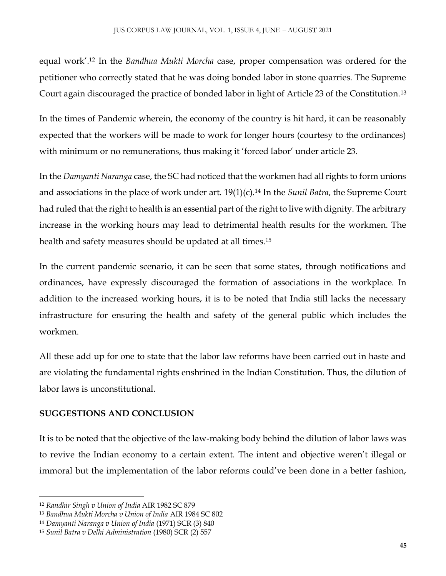equal work'.<sup>12</sup> In the *Bandhua Mukti Morcha* case, proper compensation was ordered for the petitioner who correctly stated that he was doing bonded labor in stone quarries. The Supreme Court again discouraged the practice of bonded labor in light of Article 23 of the Constitution.<sup>13</sup>

In the times of Pandemic wherein, the economy of the country is hit hard, it can be reasonably expected that the workers will be made to work for longer hours (courtesy to the ordinances) with minimum or no remunerations, thus making it 'forced labor' under article 23.

In the *Damyanti Naranga* case, the SC had noticed that the workmen had all rights to form unions and associations in the place of work under art. 19(1)(c).<sup>14</sup> In the *Sunil Batra*, the Supreme Court had ruled that the right to health is an essential part of the right to live with dignity. The arbitrary increase in the working hours may lead to detrimental health results for the workmen. The health and safety measures should be updated at all times.<sup>15</sup>

In the current pandemic scenario, it can be seen that some states, through notifications and ordinances, have expressly discouraged the formation of associations in the workplace. In addition to the increased working hours, it is to be noted that India still lacks the necessary infrastructure for ensuring the health and safety of the general public which includes the workmen.

All these add up for one to state that the labor law reforms have been carried out in haste and are violating the fundamental rights enshrined in the Indian Constitution. Thus, the dilution of labor laws is unconstitutional.

### **SUGGESTIONS AND CONCLUSION**

It is to be noted that the objective of the law-making body behind the dilution of labor laws was to revive the Indian economy to a certain extent. The intent and objective weren't illegal or immoral but the implementation of the labor reforms could've been done in a better fashion,

 $\overline{\phantom{a}}$ <sup>12</sup> *Randhir Singh v Union of India* AIR 1982 SC 879

<sup>13</sup> *Bandhua Mukti Morcha v Union of India* AIR 1984 SC 802

<sup>14</sup> *Damyanti Naranga v Union of India* (1971) SCR (3) 840

<sup>15</sup> *Sunil Batra v Delhi Administration* (1980) SCR (2) 557